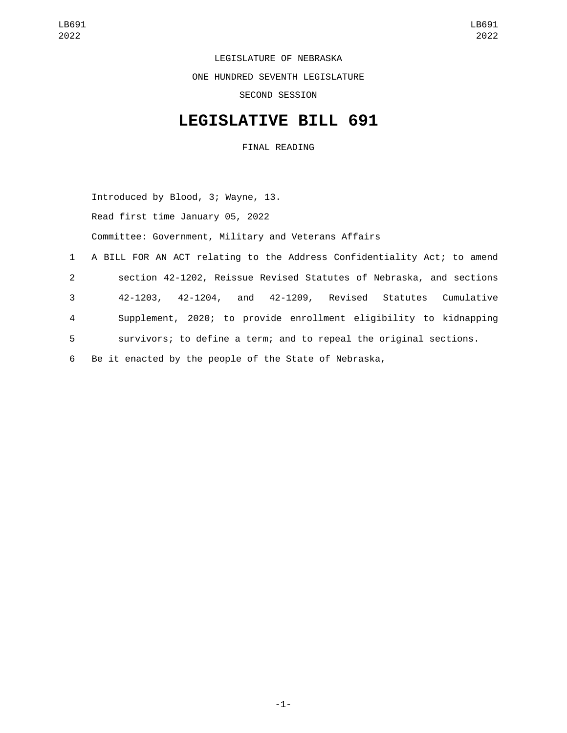LEGISLATURE OF NEBRASKA ONE HUNDRED SEVENTH LEGISLATURE SECOND SESSION

## **LEGISLATIVE BILL 691**

FINAL READING

Introduced by Blood, 3; Wayne, 13.

Read first time January 05, 2022

Committee: Government, Military and Veterans Affairs

 A BILL FOR AN ACT relating to the Address Confidentiality Act; to amend section 42-1202, Reissue Revised Statutes of Nebraska, and sections 42-1203, 42-1204, and 42-1209, Revised Statutes Cumulative Supplement, 2020; to provide enrollment eligibility to kidnapping survivors; to define a term; and to repeal the original sections. Be it enacted by the people of the State of Nebraska,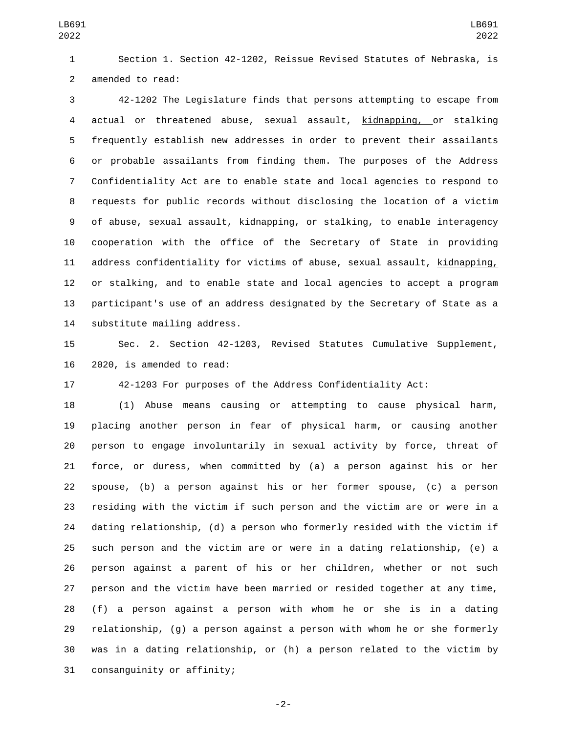Section 1. Section 42-1202, Reissue Revised Statutes of Nebraska, is 2 amended to read:

 42-1202 The Legislature finds that persons attempting to escape from actual or threatened abuse, sexual assault, kidnapping, or stalking frequently establish new addresses in order to prevent their assailants or probable assailants from finding them. The purposes of the Address Confidentiality Act are to enable state and local agencies to respond to requests for public records without disclosing the location of a victim of abuse, sexual assault, kidnapping, or stalking, to enable interagency cooperation with the office of the Secretary of State in providing 11 address confidentiality for victims of abuse, sexual assault, kidnapping, or stalking, and to enable state and local agencies to accept a program participant's use of an address designated by the Secretary of State as a 14 substitute mailing address.

 Sec. 2. Section 42-1203, Revised Statutes Cumulative Supplement, 16 2020, is amended to read:

42-1203 For purposes of the Address Confidentiality Act:

 (1) Abuse means causing or attempting to cause physical harm, placing another person in fear of physical harm, or causing another person to engage involuntarily in sexual activity by force, threat of force, or duress, when committed by (a) a person against his or her spouse, (b) a person against his or her former spouse, (c) a person residing with the victim if such person and the victim are or were in a dating relationship, (d) a person who formerly resided with the victim if such person and the victim are or were in a dating relationship, (e) a person against a parent of his or her children, whether or not such person and the victim have been married or resided together at any time, (f) a person against a person with whom he or she is in a dating relationship, (g) a person against a person with whom he or she formerly was in a dating relationship, or (h) a person related to the victim by 31 consanguinity or affinity;

-2-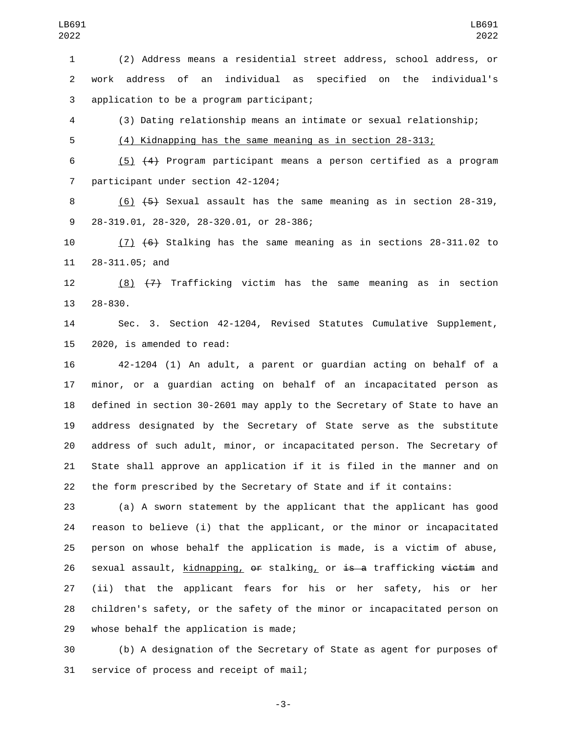(2) Address means a residential street address, school address, or work address of an individual as specified on the individual's 3 application to be a program participant;

(3) Dating relationship means an intimate or sexual relationship;

(4) Kidnapping has the same meaning as in section 28-313;

 (5) (4) Program participant means a person certified as a program 7 participant under section 42-1204;

 (6) (5) Sexual assault has the same meaning as in section 28-319, 28-319.01, 28-320, 28-320.01, or 28-386;9

 (7) (6) Stalking has the same meaning as in sections 28-311.02 to 11 28-311.05; and

 (8) (7) Trafficking victim has the same meaning as in section 13 28-830.

 Sec. 3. Section 42-1204, Revised Statutes Cumulative Supplement, 15 2020, is amended to read:

 42-1204 (1) An adult, a parent or guardian acting on behalf of a minor, or a guardian acting on behalf of an incapacitated person as defined in section 30-2601 may apply to the Secretary of State to have an address designated by the Secretary of State serve as the substitute address of such adult, minor, or incapacitated person. The Secretary of State shall approve an application if it is filed in the manner and on the form prescribed by the Secretary of State and if it contains:

 (a) A sworn statement by the applicant that the applicant has good reason to believe (i) that the applicant, or the minor or incapacitated person on whose behalf the application is made, is a victim of abuse, 26 sexual assault, kidnapping, or stalking, or is a trafficking victim and (ii) that the applicant fears for his or her safety, his or her children's safety, or the safety of the minor or incapacitated person on 29 whose behalf the application is made;

 (b) A designation of the Secretary of State as agent for purposes of 31 service of process and receipt of mail;

-3-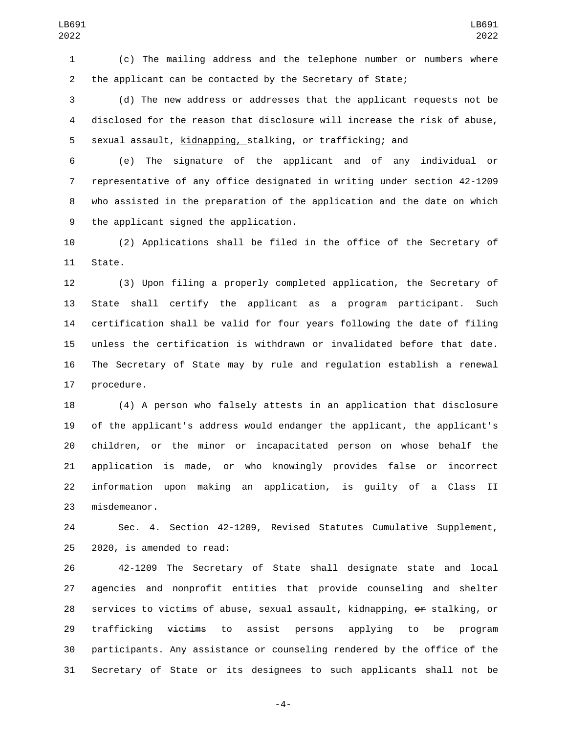(c) The mailing address and the telephone number or numbers where the applicant can be contacted by the Secretary of State;

 (d) The new address or addresses that the applicant requests not be disclosed for the reason that disclosure will increase the risk of abuse, sexual assault, kidnapping, stalking, or trafficking; and

 (e) The signature of the applicant and of any individual or representative of any office designated in writing under section 42-1209 who assisted in the preparation of the application and the date on which 9 the applicant signed the application.

 (2) Applications shall be filed in the office of the Secretary of 11 State.

 (3) Upon filing a properly completed application, the Secretary of State shall certify the applicant as a program participant. Such certification shall be valid for four years following the date of filing unless the certification is withdrawn or invalidated before that date. The Secretary of State may by rule and regulation establish a renewal 17 procedure.

 (4) A person who falsely attests in an application that disclosure of the applicant's address would endanger the applicant, the applicant's children, or the minor or incapacitated person on whose behalf the application is made, or who knowingly provides false or incorrect information upon making an application, is guilty of a Class II 23 misdemeanor.

 Sec. 4. Section 42-1209, Revised Statutes Cumulative Supplement,  $2020$ , is amended to read:

 42-1209 The Secretary of State shall designate state and local agencies and nonprofit entities that provide counseling and shelter services to victims of abuse, sexual assault, kidnapping, or stalking, or 29 trafficking <del>victims</del> to assist persons applying to be program participants. Any assistance or counseling rendered by the office of the Secretary of State or its designees to such applicants shall not be

-4-